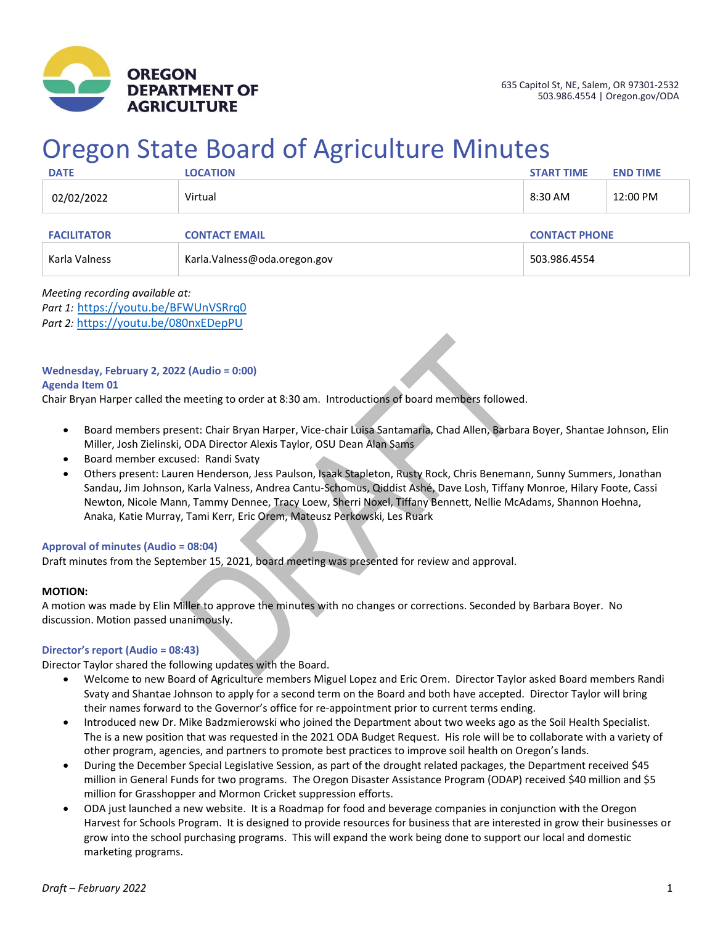

# Oregon State Board of Agriculture Minutes

| <b>DATE</b>        | <b>LOCATION</b>               | <b>START TIME</b>    | <b>END TIME</b> |
|--------------------|-------------------------------|----------------------|-----------------|
| 02/02/2022         | Virtual                       | 8:30 AM              | 12:00 PM        |
| <b>FACILITATOR</b> | <b>CONTACT EMAIL</b>          | <b>CONTACT PHONE</b> |                 |
| Karla Valness      | Karla. Valness@oda.oregon.gov | 503.986.4554         |                 |

*Meeting recording available at: Part 1:* <https://youtu.be/BFWUnVSRrq0> *Part 2:* <https://youtu.be/080nxEDepPU>

#### **Wednesday, February 2, 2022 (Audio = 0:00)**

#### **Agenda Item 01**

Chair Bryan Harper called the meeting to order at 8:30 am. Introductions of board members followed.

- Board members present: Chair Bryan Harper, Vice-chair Luisa Santamaria, Chad Allen, Barbara Boyer, Shantae Johnson, Elin Miller, Josh Zielinski, ODA Director Alexis Taylor, OSU Dean Alan Sams
- Board member excused: Randi Svaty
- Others present: Lauren Henderson, Jess Paulson, Isaak Stapleton, Rusty Rock, Chris Benemann, Sunny Summers, Jonathan Sandau, Jim Johnson, Karla Valness, Andrea Cantu-Schomus, Qiddist Ashé, Dave Losh, Tiffany Monroe, Hilary Foote, Cassi Newton, Nicole Mann, Tammy Dennee, Tracy Loew, Sherri Noxel, Tiffany Bennett, Nellie McAdams, Shannon Hoehna, Anaka, Katie Murray, Tami Kerr, Eric Orem, Mateusz Perkowski, Les Ruark

#### **Approval of minutes (Audio = 08:04)**

Draft minutes from the September 15, 2021, board meeting was presented for review and approval.

#### **MOTION:**

A motion was made by Elin Miller to approve the minutes with no changes or corrections. Seconded by Barbara Boyer. No discussion. Motion passed unanimously.

#### **Director's report (Audio = 08:43)**

Director Taylor shared the following updates with the Board.

- Welcome to new Board of Agriculture members Miguel Lopez and Eric Orem. Director Taylor asked Board members Randi Svaty and Shantae Johnson to apply for a second term on the Board and both have accepted. Director Taylor will bring their names forward to the Governor's office for re-appointment prior to current terms ending.
- Introduced new Dr. Mike Badzmierowski who joined the Department about two weeks ago as the Soil Health Specialist. The is a new position that was requested in the 2021 ODA Budget Request. His role will be to collaborate with a variety of other program, agencies, and partners to promote best practices to improve soil health on Oregon's lands.
- During the December Special Legislative Session, as part of the drought related packages, the Department received \$45 million in General Funds for two programs. The Oregon Disaster Assistance Program (ODAP) received \$40 million and \$5 million for Grasshopper and Mormon Cricket suppression efforts.
- ODA just launched a new website. It is a Roadmap for food and beverage companies in conjunction with the Oregon Harvest for Schools Program. It is designed to provide resources for business that are interested in grow their businesses or grow into the school purchasing programs. This will expand the work being done to support our local and domestic marketing programs.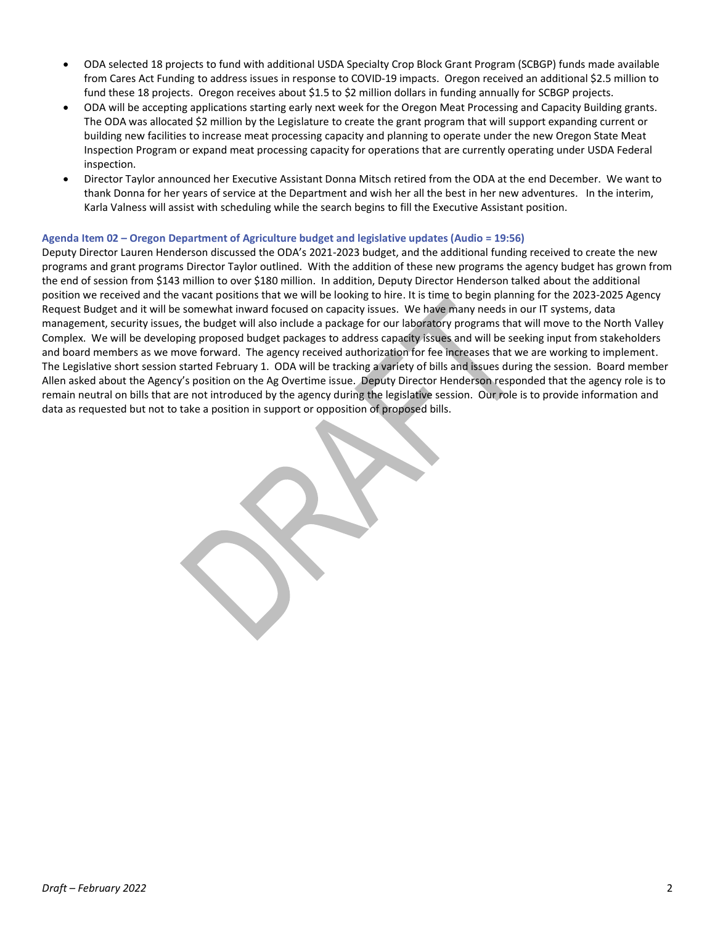- ODA selected 18 projects to fund with additional USDA Specialty Crop Block Grant Program (SCBGP) funds made available from Cares Act Funding to address issues in response to COVID-19 impacts. Oregon received an additional \$2.5 million to fund these 18 projects. Oregon receives about \$1.5 to \$2 million dollars in funding annually for SCBGP projects.
- ODA will be accepting applications starting early next week for the Oregon Meat Processing and Capacity Building grants. The ODA was allocated \$2 million by the Legislature to create the grant program that will support expanding current or building new facilities to increase meat processing capacity and planning to operate under the new Oregon State Meat Inspection Program or expand meat processing capacity for operations that are currently operating under USDA Federal inspection.
- Director Taylor announced her Executive Assistant Donna Mitsch retired from the ODA at the end December. We want to thank Donna for her years of service at the Department and wish her all the best in her new adventures. In the interim, Karla Valness will assist with scheduling while the search begins to fill the Executive Assistant position.

#### **Agenda Item 02 – Oregon Department of Agriculture budget and legislative updates (Audio = 19:56)**

Deputy Director Lauren Henderson discussed the ODA's 2021-2023 budget, and the additional funding received to create the new programs and grant programs Director Taylor outlined. With the addition of these new programs the agency budget has grown from the end of session from \$143 million to over \$180 million. In addition, Deputy Director Henderson talked about the additional position we received and the vacant positions that we will be looking to hire. It is time to begin planning for the 2023-2025 Agency Request Budget and it will be somewhat inward focused on capacity issues. We have many needs in our IT systems, data management, security issues, the budget will also include a package for our laboratory programs that will move to the North Valley Complex. We will be developing proposed budget packages to address capacity issues and will be seeking input from stakeholders and board members as we move forward. The agency received authorization for fee increases that we are working to implement. The Legislative short session started February 1. ODA will be tracking a variety of bills and issues during the session. Board member Allen asked about the Agency's position on the Ag Overtime issue. Deputy Director Henderson responded that the agency role is to remain neutral on bills that are not introduced by the agency during the legislative session. Our role is to provide information and data as requested but not to take a position in support or opposition of proposed bills.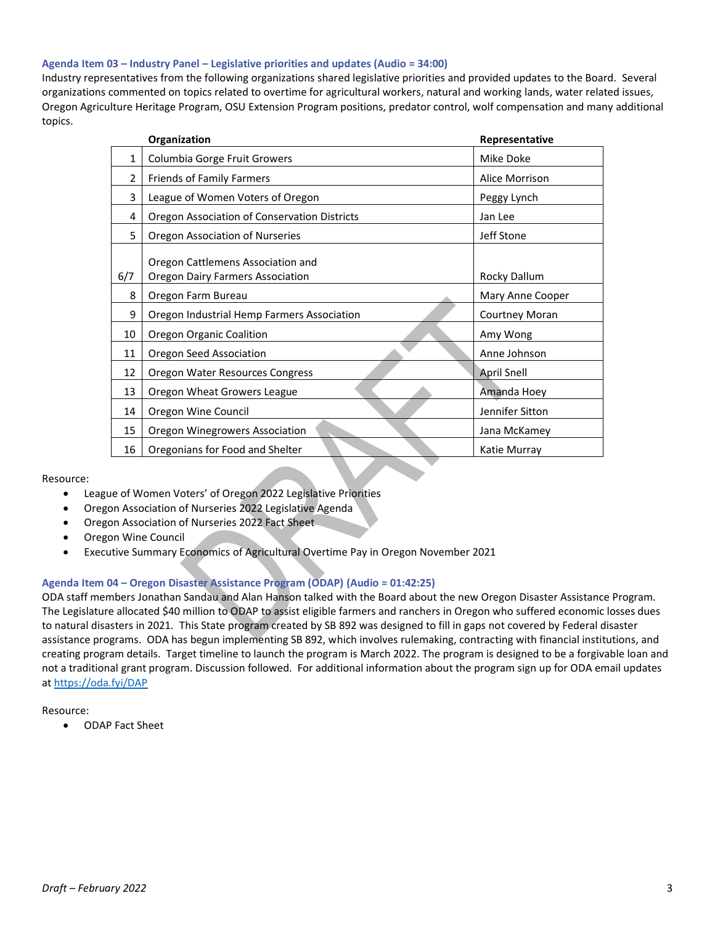#### **Agenda Item 03 – Industry Panel – Legislative priorities and updates (Audio = 34:00)**

Industry representatives from the following organizations shared legislative priorities and provided updates to the Board. Several organizations commented on topics related to overtime for agricultural workers, natural and working lands, water related issues, Oregon Agriculture Heritage Program, OSU Extension Program positions, predator control, wolf compensation and many additional topics.

| Organization |                                                                              | Representative        |
|--------------|------------------------------------------------------------------------------|-----------------------|
| 1            | Columbia Gorge Fruit Growers                                                 | Mike Doke             |
| 2            | Friends of Family Farmers                                                    | Alice Morrison        |
| 3            | League of Women Voters of Oregon                                             | Peggy Lynch           |
| 4            | Oregon Association of Conservation Districts                                 | Jan Lee               |
| 5            | Oregon Association of Nurseries                                              | Jeff Stone            |
| 6/7          | Oregon Cattlemens Association and<br><b>Oregon Dairy Farmers Association</b> | Rocky Dallum          |
| 8            | Oregon Farm Bureau                                                           | Mary Anne Cooper      |
| 9            | Oregon Industrial Hemp Farmers Association                                   | <b>Courtney Moran</b> |
| 10           | Oregon Organic Coalition                                                     | Amy Wong              |
| 11           | Oregon Seed Association                                                      | Anne Johnson          |
| 12           | Oregon Water Resources Congress                                              | <b>April Snell</b>    |
| 13           | Oregon Wheat Growers League                                                  | Amanda Hoey           |
| 14           | Oregon Wine Council                                                          | Jennifer Sitton       |
| 15           | <b>Oregon Winegrowers Association</b>                                        | Jana McKamey          |
| 16           | Oregonians for Food and Shelter                                              | Katie Murray          |

Resource:

- League of Women Voters' of Oregon 2022 Legislative Priorities
- Oregon Association of Nurseries 2022 Legislative Agenda
- Oregon Association of Nurseries 2022 Fact Sheet
- Oregon Wine Council
- Executive Summary Economics of Agricultural Overtime Pay in Oregon November 2021

#### **Agenda Item 04 – Oregon Disaster Assistance Program (ODAP) (Audio = 01:42:25)**

ODA staff members Jonathan Sandau and Alan Hanson talked with the Board about the new Oregon Disaster Assistance Program. The Legislature allocated \$40 million to ODAP to assist eligible farmers and ranchers in Oregon who suffered economic losses dues to natural disasters in 2021. This State program created by SB 892 was designed to fill in gaps not covered by Federal disaster assistance programs. ODA has begun implementing SB 892, which involves rulemaking, contracting with financial institutions, and creating program details. Target timeline to launch the program is March 2022. The program is designed to be a forgivable loan and not a traditional grant program. Discussion followed. For additional information about the program sign up for ODA email updates a[t https://oda.fyi/DAP](https://oda.fyi/DAP)

Resource:

• ODAP Fact Sheet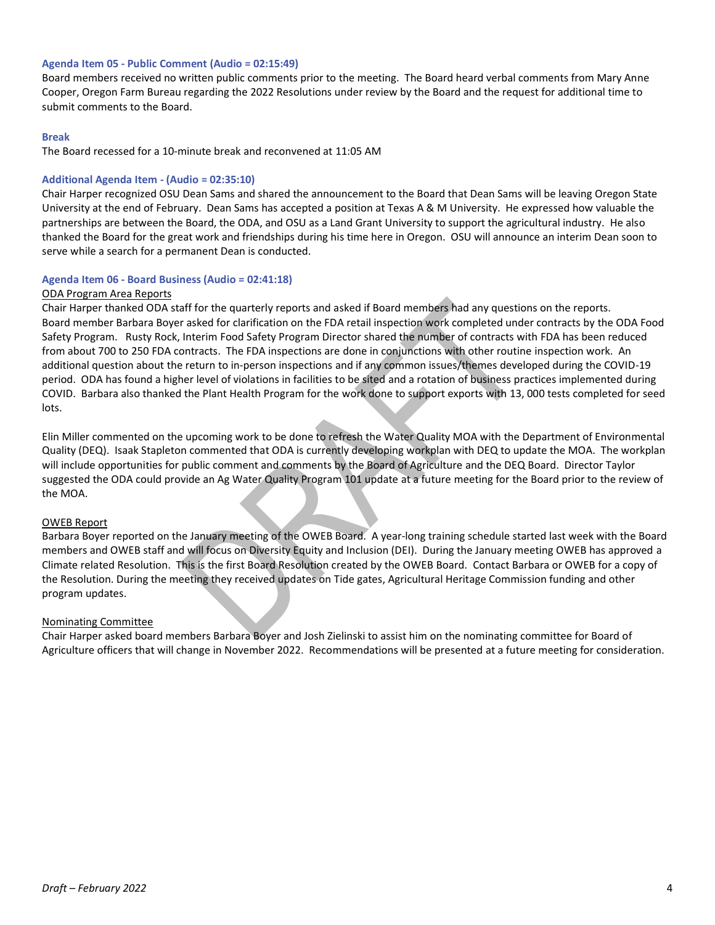#### **Agenda Item 05 - Public Comment (Audio = 02:15:49)**

Board members received no written public comments prior to the meeting. The Board heard verbal comments from Mary Anne Cooper, Oregon Farm Bureau regarding the 2022 Resolutions under review by the Board and the request for additional time to submit comments to the Board.

#### **Break**

The Board recessed for a 10-minute break and reconvened at 11:05 AM

#### **Additional Agenda Item - (Audio = 02:35:10)**

Chair Harper recognized OSU Dean Sams and shared the announcement to the Board that Dean Sams will be leaving Oregon State University at the end of February. Dean Sams has accepted a position at Texas A & M University. He expressed how valuable the partnerships are between the Board, the ODA, and OSU as a Land Grant University to support the agricultural industry. He also thanked the Board for the great work and friendships during his time here in Oregon. OSU will announce an interim Dean soon to serve while a search for a permanent Dean is conducted.

#### **Agenda Item 06 - Board Business (Audio = 02:41:18)**

#### ODA Program Area Reports

Chair Harper thanked ODA staff for the quarterly reports and asked if Board members had any questions on the reports. Board member Barbara Boyer asked for clarification on the FDA retail inspection work completed under contracts by the ODA Food Safety Program. Rusty Rock, Interim Food Safety Program Director shared the number of contracts with FDA has been reduced from about 700 to 250 FDA contracts. The FDA inspections are done in conjunctions with other routine inspection work. An additional question about the return to in-person inspections and if any common issues/themes developed during the COVID-19 period. ODA has found a higher level of violations in facilities to be sited and a rotation of business practices implemented during COVID. Barbara also thanked the Plant Health Program for the work done to support exports with 13, 000 tests completed for seed lots.

Elin Miller commented on the upcoming work to be done to refresh the Water Quality MOA with the Department of Environmental Quality (DEQ). Isaak Stapleton commented that ODA is currently developing workplan with DEQ to update the MOA. The workplan will include opportunities for public comment and comments by the Board of Agriculture and the DEQ Board. Director Taylor suggested the ODA could provide an Ag Water Quality Program 101 update at a future meeting for the Board prior to the review of the MOA.

#### OWEB Report

Barbara Boyer reported on the January meeting of the OWEB Board. A year-long training schedule started last week with the Board members and OWEB staff and will focus on Diversity Equity and Inclusion (DEI). During the January meeting OWEB has approved a Climate related Resolution. This is the first Board Resolution created by the OWEB Board. Contact Barbara or OWEB for a copy of the Resolution. During the meeting they received updates on Tide gates, Agricultural Heritage Commission funding and other program updates.

#### Nominating Committee

Chair Harper asked board members Barbara Boyer and Josh Zielinski to assist him on the nominating committee for Board of Agriculture officers that will change in November 2022. Recommendations will be presented at a future meeting for consideration.